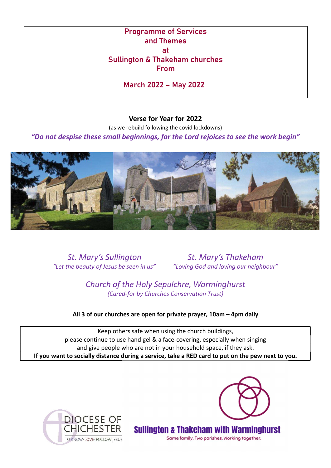Programme of Services and Themes at Sullington & Thakeham churches From

March 2022 – May 2022

# Verse for Year for 2022

(as we rebuild following the covid lockdowns)

"Do not despise these small beginnings, for the Lord rejoices to see the work begin"



"Let the beauty of Jesus be seen in us" "Loving God and loving our neighbour"

St. Mary's Sullington St. Mary's Thakeham

Church of the Holy Sepulchre, Warminghurst (Cared-for by Churches Conservation Trust)

All 3 of our churches are open for private prayer, 10am – 4pm daily

Keep others safe when using the church buildings, please continue to use hand gel & a face-covering, especially when singing and give people who are not in your household space, if they ask. If you want to socially distance during a service, take a RED card to put on the pew next to you.







Same family, Two parishes, Working together.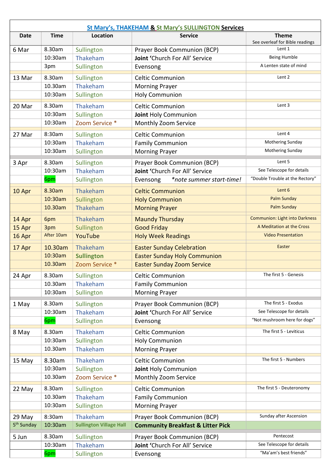| <b>St Mary's, THAKEHAM &amp; St Mary's SULLINGTON Services</b> |                   |                                |                                                               |                                           |  |
|----------------------------------------------------------------|-------------------|--------------------------------|---------------------------------------------------------------|-------------------------------------------|--|
| <b>Date</b>                                                    | <b>Time</b>       | Location                       | <b>Service</b>                                                | <b>Theme</b>                              |  |
|                                                                | 8.30am            |                                |                                                               | See overleaf for Bible readings<br>Lent 1 |  |
| 6 Mar                                                          | 10:30am           | Sullington<br>Thakeham         | Prayer Book Communion (BCP)<br>Joint 'Church For All' Service | <b>Being Humble</b>                       |  |
|                                                                | 3pm               | Sullington                     | Evensong                                                      | A Lenten state of mind                    |  |
|                                                                |                   |                                |                                                               |                                           |  |
| 13 Mar                                                         | 8.30am            | Sullington                     | <b>Celtic Communion</b>                                       | Lent 2                                    |  |
|                                                                | 10.30am           | Thakeham                       | <b>Morning Prayer</b>                                         |                                           |  |
|                                                                | 10:30am           | Sullington                     | <b>Holy Communion</b>                                         |                                           |  |
| 20 Mar                                                         | 8.30am            | Thakeham                       | <b>Celtic Communion</b>                                       | Lent 3                                    |  |
|                                                                | 10:30am           | Sullington                     | Joint Holy Communion                                          |                                           |  |
|                                                                | 10:30am           | Zoom Service *                 | Monthly Zoom Service                                          |                                           |  |
| 27 Mar                                                         | 8:30am            | Sullington                     | <b>Celtic Communion</b>                                       | Lent 4                                    |  |
|                                                                | 10:30am           | Thakeham                       | <b>Family Communion</b>                                       | Mothering Sunday                          |  |
|                                                                | 10:30am           | Sullington                     | <b>Morning Prayer</b>                                         | Mothering Sunday                          |  |
| 3 Apr                                                          | 8.30am            | Sullington                     | Prayer Book Communion (BCP)                                   | Lent 5                                    |  |
|                                                                | 10:30am           | Thakeham                       | Joint 'Church For All' Service                                | See Telescope for details                 |  |
|                                                                | 6pm               | Sullington                     | Evensong<br>*note summer start-time!                          | "Double Trouble at the Rectory"           |  |
| 10 Apr                                                         | 8.30am            | Thakeham                       | <b>Celtic Communion</b>                                       | Lent 6                                    |  |
|                                                                | 10:30am           | Sullington                     | <b>Holy Communion</b>                                         | <b>Palm Sunday</b>                        |  |
|                                                                | 10.30am           | Thakeham                       | <b>Morning Prayer</b>                                         | <b>Palm Sunday</b>                        |  |
| 14 Apr                                                         | 6pm               | Thakeham                       | <b>Maundy Thursday</b>                                        | <b>Communion: Light into Darkness</b>     |  |
| 15 Apr                                                         | 3pm               | Sullington                     | <b>Good Friday</b>                                            | A Meditation at the Cross                 |  |
| 16 Apr                                                         | After 10am        | YouTube                        | <b>Holy Week Readings</b>                                     | <b>Video Presentation</b>                 |  |
| 17 Apr                                                         | 10.30am           | Thakeham                       | <b>Easter Sunday Celebration</b>                              | Easter                                    |  |
|                                                                | 10:30am           | <b>Sullington</b>              | <b>Easter Sunday Holy Communion</b>                           |                                           |  |
|                                                                | 10.30am           | Zoom Service *                 | <b>Easter Sunday Zoom Service</b>                             |                                           |  |
| 24 Apr                                                         | 8.30am            | Sullington                     | <b>Celtic Communion</b>                                       | The first 5 - Genesis                     |  |
|                                                                | 10.30am           | Thakeham                       | <b>Family Communion</b>                                       |                                           |  |
|                                                                | 10:30am           | Sullington                     | <b>Morning Prayer</b>                                         |                                           |  |
|                                                                |                   |                                |                                                               | The first 5 - Exodus                      |  |
| 1 May                                                          | 8.30am<br>10:30am | Sullington<br>Thakeham         | Prayer Book Communion (BCP)                                   | See Telescope for details                 |  |
|                                                                |                   | Sullington                     | Joint 'Church For All' Service                                | "Not mushroom here for dogs"              |  |
|                                                                | 6pm               |                                | Evensong                                                      |                                           |  |
| 8 May                                                          | 8.30am            | Thakeham                       | <b>Celtic Communion</b>                                       | The first 5 - Leviticus                   |  |
|                                                                | 10:30am           | Sullington                     | <b>Holy Communion</b>                                         |                                           |  |
|                                                                | 10.30am           | Thakeham                       | <b>Morning Prayer</b>                                         |                                           |  |
| 15 May                                                         | 8.30am            | Thakeham                       | <b>Celtic Communion</b>                                       | The first 5 - Numbers                     |  |
|                                                                | 10:30am           | Sullington                     | Joint Holy Communion                                          |                                           |  |
|                                                                | 10.30am           | Zoom Service *                 | Monthly Zoom Service                                          |                                           |  |
| 22 May                                                         | 8.30am            | Sullington                     | <b>Celtic Communion</b>                                       | The first 5 - Deuteronomy                 |  |
|                                                                | 10.30am           | Thakeham                       | <b>Family Communion</b>                                       |                                           |  |
|                                                                | 10:30am           | Sullington                     | <b>Morning Prayer</b>                                         |                                           |  |
| 29 May                                                         | 8:30am            | Thakeham                       | Prayer Book Communion (BCP)                                   | Sunday after Ascension                    |  |
| 5 <sup>th</sup> Sunday                                         | 10:30am           | <b>Sullington Village Hall</b> | <b>Community Breakfast &amp; Litter Pick</b>                  |                                           |  |
| 5 Jun                                                          | 8.30am            | Sullington                     | Prayer Book Communion (BCP)                                   | Pentecost                                 |  |
|                                                                | 10:30am           | Thakeham                       | Joint 'Church For All' Service                                | See Telescope for details                 |  |
|                                                                | 6pm               | Sullington                     | Evensong                                                      | "Ma'am's best friends"                    |  |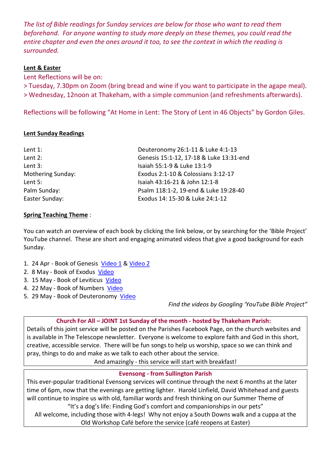The list of Bible readings for Sunday services are below for those who want to read them beforehand. For anyone wanting to study more deeply on these themes, you could read the entire chapter and even the ones around it too, to see the context in which the reading is surrounded.

# Lent & Easter

Lent Reflections will be on:

> Tuesday, 7.30pm on Zoom (bring bread and wine if you want to participate in the agape meal). > Wednesday, 12noon at Thakeham, with a simple communion (and refreshments afterwards).

Reflections will be following "At Home in Lent: The Story of Lent in 46 Objects" by Gordon Giles.

# Lent Sunday Readings

| Lent $1$ :        | Deuteronomy 26:1-11 & Luke 4:1-13       |
|-------------------|-----------------------------------------|
| Lent 2:           | Genesis 15:1-12, 17-18 & Luke 13:31-end |
| Lent 3:           | Isaiah 55:1-9 & Luke 13:1-9             |
| Mothering Sunday: | Exodus 2:1-10 & Colossians 3:12-17      |
| Lent 5:           | Isaiah 43:16-21 & John 12:1-8           |
| Palm Sunday:      | Psalm 118:1-2, 19-end & Luke 19:28-40   |
| Easter Sunday:    | Exodus 14: 15-30 & Luke 24:1-12         |

### Spring Teaching Theme :

You can watch an overview of each book by clicking the link below, or by searching for the 'Bible Project' YouTube channel. These are short and engaging animated videos that give a good background for each Sunday.

- 1. 24 Apr Book of Genesis Video 1 & Video 2
- 2. 8 May Book of Exodus Video
- 3. 15 May Book of Leviticus Video
- 4. 22 May Book of Numbers Video
- 5. 29 May Book of Deuteronomy Video

Find the videos by Googling 'YouTube Bible Project"

# Church For All – JOINT 1st Sunday of the month - hosted by Thakeham Parish:

Details of this joint service will be posted on the Parishes Facebook Page, on the church websites and is available in The Telescope newsletter. Everyone is welcome to explore faith and God in this short, creative, accessible service. There will be fun songs to help us worship, space so we can think and pray, things to do and make as we talk to each other about the service.

And amazingly - this service will start with breakfast!

# Evensong - from Sullington Parish

This ever-popular traditional Evensong services will continue through the next 6 months at the later time of 6pm, now that the evenings are getting lighter. Harold Linfield, David Whitehead and guests will continue to inspire us with old, familiar words and fresh thinking on our Summer Theme of "It's a dog's life: Finding God's comfort and companionships in our pets"

All welcome, including those with 4-legs! Why not enjoy a South Downs walk and a cuppa at the Old Workshop Café before the service (café reopens at Easter)